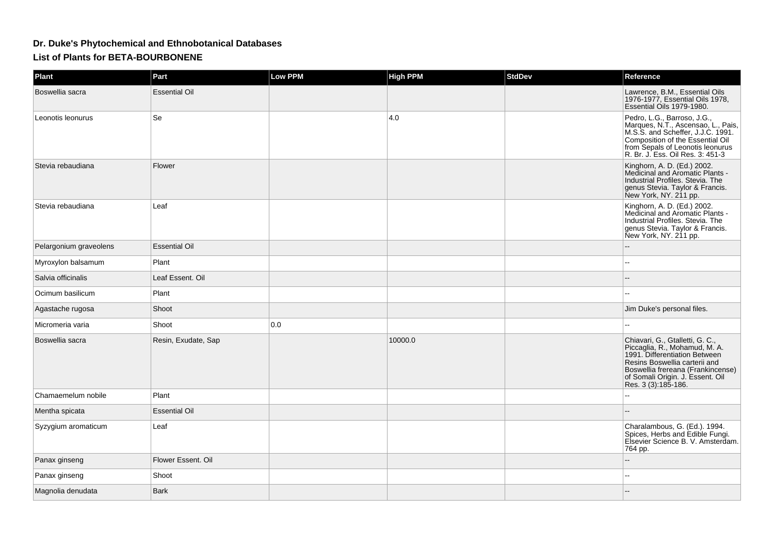## **Dr. Duke's Phytochemical and Ethnobotanical DatabasesList of Plants for BETA-BOURBONENE**

| Plant                  | Part                 | Low PPM | <b>High PPM</b> | <b>StdDev</b> | Reference                                                                                                                                                                                                                          |
|------------------------|----------------------|---------|-----------------|---------------|------------------------------------------------------------------------------------------------------------------------------------------------------------------------------------------------------------------------------------|
| Boswellia sacra        | <b>Essential Oil</b> |         |                 |               | Lawrence, B.M., Essential Oils<br>1976-1977, Essential Oils 1978,<br>Essential Oils 1979-1980.                                                                                                                                     |
| Leonotis leonurus      | Se                   |         | 4.0             |               | Pedro, L.G., Barroso, J.G.,<br>Marques, N.T., Ascensao, L., Pais,<br>M.S.S. and Scheffer, J.J.C. 1991.<br>Composition of the Essential Oil<br>from Sepals of Leonotis leonurus<br>R. Br. J. Ess. Oil Res. 3: 451-3                 |
| Stevia rebaudiana      | Flower               |         |                 |               | Kinghorn, A. D. (Ed.) 2002.<br>Medicinal and Aromatic Plants -<br>Industrial Profiles, Stevia, The<br>genus Stevia. Taylor & Francis.<br>New York, NY. 211 pp.                                                                     |
| Stevia rebaudiana      | Leaf                 |         |                 |               | Kinghorn, A. D. (Ed.) 2002.<br>Medicinal and Aromatic Plants -<br>Industrial Profiles. Stevia. The<br>genus Stevia. Taylor & Francis.<br>New York, NY. 211 pp.                                                                     |
| Pelargonium graveolens | <b>Essential Oil</b> |         |                 |               |                                                                                                                                                                                                                                    |
| Myroxylon balsamum     | Plant                |         |                 |               |                                                                                                                                                                                                                                    |
| Salvia officinalis     | Leaf Essent. Oil     |         |                 |               |                                                                                                                                                                                                                                    |
| Ocimum basilicum       | Plant                |         |                 |               |                                                                                                                                                                                                                                    |
| Agastache rugosa       | Shoot                |         |                 |               | Jim Duke's personal files.                                                                                                                                                                                                         |
| Micromeria varia       | Shoot                | 0.0     |                 |               |                                                                                                                                                                                                                                    |
| Boswellia sacra        | Resin, Exudate, Sap  |         | 10000.0         |               | Chiavari, G., Gtalletti, G. C.,<br>Piccaglia, R., Mohamud, M. A.<br>1991. Differentiation Between<br>Resins Boswellia carterii and<br>Boswellia frereana (Frankincense)<br>of Somali Origin. J. Essent. Oil<br>Res. 3 (3):185-186. |
| Chamaemelum nobile     | Plant                |         |                 |               |                                                                                                                                                                                                                                    |
| Mentha spicata         | <b>Essential Oil</b> |         |                 |               |                                                                                                                                                                                                                                    |
| Syzygium aromaticum    | Leaf                 |         |                 |               | Charalambous, G. (Ed.). 1994.<br>Spices, Herbs and Edible Fungi.<br>Elsevier Science B. V. Amsterdam.<br>764 pp.                                                                                                                   |
| Panax ginseng          | Flower Essent. Oil   |         |                 |               |                                                                                                                                                                                                                                    |
| Panax ginseng          | Shoot                |         |                 |               | --                                                                                                                                                                                                                                 |
| Magnolia denudata      | <b>Bark</b>          |         |                 |               |                                                                                                                                                                                                                                    |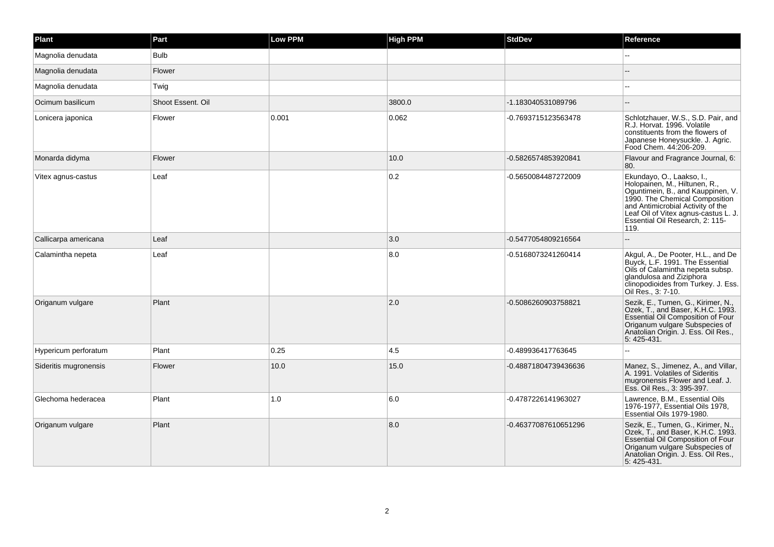| Plant                 | Part              | <b>Low PPM</b> | <b>High PPM</b> | <b>StdDev</b>        | Reference                                                                                                                                                                                                                                                 |
|-----------------------|-------------------|----------------|-----------------|----------------------|-----------------------------------------------------------------------------------------------------------------------------------------------------------------------------------------------------------------------------------------------------------|
| Magnolia denudata     | <b>Bulb</b>       |                |                 |                      |                                                                                                                                                                                                                                                           |
| Magnolia denudata     | Flower            |                |                 |                      |                                                                                                                                                                                                                                                           |
| Magnolia denudata     | Twig              |                |                 |                      |                                                                                                                                                                                                                                                           |
| Ocimum basilicum      | Shoot Essent, Oil |                | 3800.0          | -1.183040531089796   |                                                                                                                                                                                                                                                           |
| Lonicera japonica     | Flower            | 0.001          | 0.062           | -0.7693715123563478  | Schlotzhauer, W.S., S.D. Pair, and<br>R.J. Horvat, 1996. Volatile<br>constituents from the flowers of<br>Japanese Honeysuckle. J. Agric.<br>Food Chem. 44:206-209.                                                                                        |
| Monarda didyma        | Flower            |                | 10.0            | -0.5826574853920841  | Flavour and Fragrance Journal, 6:<br>80.                                                                                                                                                                                                                  |
| Vitex agnus-castus    | Leaf              |                | 0.2             | -0.5650084487272009  | Ekundayo, O., Laakso, I.,<br>Holopainen, M., Hiltunen, R.,<br>Oguntimein, B., and Kauppinen, V.<br>1990. The Chemical Composition<br>and Antimicrobial Activity of the<br>Leaf Oil of Vitex agnus-castus L. J.<br>Essential Oil Research, 2: 115-<br>119. |
| Callicarpa americana  | Leaf              |                | 3.0             | -0.5477054809216564  |                                                                                                                                                                                                                                                           |
| Calamintha nepeta     | Leaf              |                | 8.0             | -0.5168073241260414  | Akgul, A., De Pooter, H.L., and De<br>Buyck, L.F. 1991. The Essential<br>Oils of Calamintha nepeta subsp.<br>glandulosa and Ziziphora<br>clinopodioides from Turkey. J. Ess.<br>Oil Res., 3: 7-10.                                                        |
| Origanum vulgare      | Plant             |                | 2.0             | -0.5086260903758821  | Sezik, E., Tumen, G., Kirimer, N.,<br>Ozek, T., and Baser, K.H.C. 1993.<br>Essential Oil Composition of Four<br>Origanum vulgare Subspecies of<br>Anatolian Origin. J. Ess. Oil Res.,<br>5:425-431.                                                       |
| Hypericum perforatum  | Plant             | 0.25           | 4.5             | -0.489936417763645   |                                                                                                                                                                                                                                                           |
| Sideritis mugronensis | Flower            | 10.0           | 15.0            | -0.48871804739436636 | Manez, S., Jimenez, A., and Villar,<br>A. 1991. Volatiles of Sideritis<br>mugronensis Flower and Leaf. J.<br>Ess. Oil Res., 3: 395-397.                                                                                                                   |
| Glechoma hederacea    | Plant             | 1.0            | 6.0             | -0.4787226141963027  | Lawrence, B.M., Essential Oils<br>1976-1977. Essential Oils 1978.<br>Essential Oils 1979-1980.                                                                                                                                                            |
| Origanum vulgare      | Plant             |                | 8.0             | -0.46377087610651296 | Sezik, E., Tumen, G., Kirimer, N.,<br>Ozek, T., and Baser, K.H.C. 1993.<br>Essential Oil Composition of Four<br>Origanum vulgare Subspecies of<br>Anatolian Origin. J. Ess. Oil Res.,<br>5:425-431.                                                       |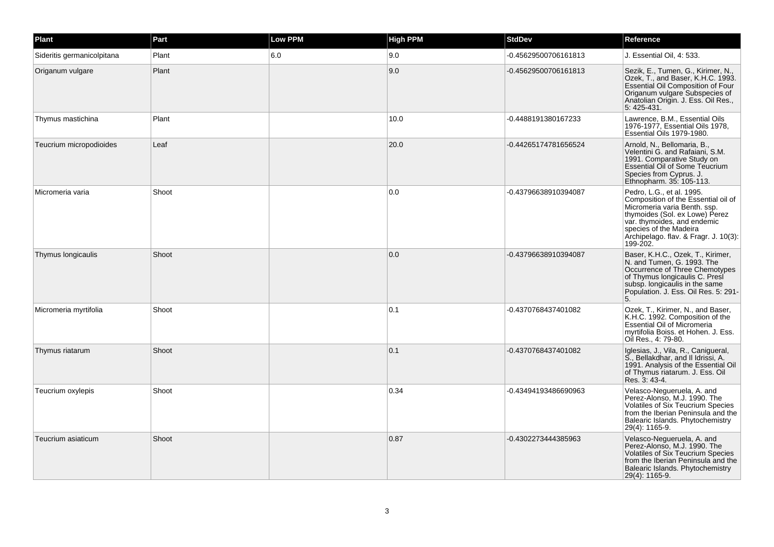| Plant                      | Part  | Low PPM | <b>High PPM</b> | <b>StdDev</b>        | Reference                                                                                                                                                                                                                                        |
|----------------------------|-------|---------|-----------------|----------------------|--------------------------------------------------------------------------------------------------------------------------------------------------------------------------------------------------------------------------------------------------|
| Sideritis germanicolpitana | Plant | 6.0     | 9.0             | -0.45629500706161813 | J. Essential Oil, 4: 533.                                                                                                                                                                                                                        |
| Origanum vulgare           | Plant |         | 9.0             | -0.45629500706161813 | Sezik, E., Tumen, G., Kirimer, N.,<br>Ozek, T., and Baser, K.H.C. 1993.<br>Essential Oil Composition of Four<br>Origanum vulgare Subspecies of<br>Anatolian Origin. J. Ess. Oil Res.,<br>5: 425-431.                                             |
| Thymus mastichina          | Plant |         | 10.0            | -0.4488191380167233  | Lawrence, B.M., Essential Oils<br>1976-1977, Essential Oils 1978,<br>Essential Oils 1979-1980.                                                                                                                                                   |
| Teucrium micropodioides    | Leaf  |         | 20.0            | -0.44265174781656524 | Arnold, N., Bellomaria, B.,<br>Velentini G. and Rafaiani, S.M.<br>1991. Comparative Study on<br><b>Essential Oil of Some Teucrium</b><br>Species from Cyprus. J.<br>Ethnopharm. 35: 105-113.                                                     |
| Micromeria varia           | Shoot |         | 0.0             | -0.43796638910394087 | Pedro, L.G., et al. 1995.<br>Composition of the Essential oil of<br>Micromeria varia Benth. ssp.<br>thymoides (Sol. ex Lowe) Perez<br>var. thymoides, and endemic<br>species of the Madeira<br>Archipelago. flav. & Fragr. J. 10(3):<br>199-202. |
| Thymus longicaulis         | Shoot |         | 0.0             | -0.43796638910394087 | Baser, K.H.C., Ozek, T., Kirimer,<br>N. and Tumen, G. 1993. The<br>Occurrence of Three Chemotypes<br>of Thymus longicaulis C. Presl<br>subsp. longicaulis in the same<br>Population. J. Ess. Oil Res. 5: 291-<br>5.                              |
| Micromeria myrtifolia      | Shoot |         | 0.1             | -0.4370768437401082  | Ozek, T., Kirimer, N., and Baser,<br>K.H.C. 1992. Composition of the<br>Essential Oil of Micromeria<br>myrtifolia Boiss. et Hohen. J. Ess.<br>Oil Res., 4: 79-80.                                                                                |
| Thymus riatarum            | Shoot |         | 0.1             | -0.4370768437401082  | Iglesias, J., Vila, R., Canigueral,<br>S., Bellakdhar, and II Idrissi, A.<br>1991. Analysis of the Essential Oil<br>of Thymus riatarum. J. Ess. Oil<br>Res. 3: 43-4.                                                                             |
| Teucrium oxylepis          | Shoot |         | 0.34            | -0.43494193486690963 | Velasco-Negueruela, A. and<br>Perez-Alonso, M.J. 1990. The<br>Volatiles of Six Teucrium Species<br>from the Iberian Peninsula and the<br>Balearic Islands. Phytochemistry<br>29(4): 1165-9.                                                      |
| Teucrium asiaticum         | Shoot |         | 0.87            | -0.4302273444385963  | Velasco-Negueruela, A. and<br>Perez-Alonso, M.J. 1990. The<br>Volatiles of Six Teucrium Species<br>from the Iberian Peninsula and the<br>Balearic Islands. Phytochemistry<br>29(4): 1165-9.                                                      |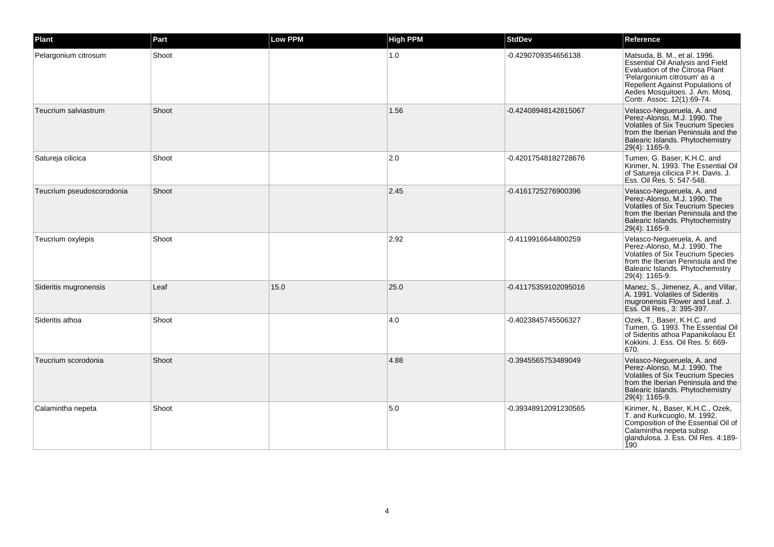| Plant                     | Part  | <b>Low PPM</b> | <b>High PPM</b> | <b>StdDev</b>        | Reference                                                                                                                                                                                                                                     |
|---------------------------|-------|----------------|-----------------|----------------------|-----------------------------------------------------------------------------------------------------------------------------------------------------------------------------------------------------------------------------------------------|
| Pelargonium citrosum      | Shoot |                | 1.0             | -0.4290709354656138  | Matsuda, B. M., et al. 1996.<br><b>Essential Oil Analysis and Field</b><br>Evaluation of the Citrosa Plant<br>'Pelargonium citrosum' as a<br>Repellent Against Populations of<br>Aedes Mosquitoes. J. Am. Mosq.<br>Contr. Assoc. 12(1):69-74. |
| Teucrium salviastrum      | Shoot |                | 1.56            | -0.42408948142815067 | Velasco-Negueruela, A. and<br>Perez-Alonso, M.J. 1990. The<br>Volatiles of Six Teucrium Species<br>from the Iberian Peninsula and the<br>Balearic Islands. Phytochemistry<br>29(4): 1165-9.                                                   |
| Satureja cilicica         | Shoot |                | 2.0             | -0.42017548182728676 | Tumen, G. Baser, K.H.C. and<br>Kirimer, N. 1993. The Essential Oil<br>of Satureja cilicica P.H. Davis. J.<br>Ess. Oil Res. 5: 547-548.                                                                                                        |
| Teucrium pseudoscorodonia | Shoot |                | 2.45            | -0.4161725276900396  | Velasco-Negueruela, A. and<br>Perez-Alonso, M.J. 1990. The<br>Volatiles of Six Teucrium Species<br>from the Iberian Peninsula and the<br>Balearic Islands. Phytochemistry<br>29(4): 1165-9.                                                   |
| Teucrium oxylepis         | Shoot |                | 2.92            | -0.4119916644800259  | Velasco-Negueruela, A. and<br>Perez-Alonso, M.J. 1990. The<br><b>Volatiles of Six Teucrium Species</b><br>from the Iberian Peninsula and the<br>Balearic Islands. Phytochemistry<br>29(4): 1165-9.                                            |
| Sideritis mugronensis     | Leaf  | 15.0           | 25.0            | -0.41175359102095016 | Manez, S., Jimenez, A., and Villar,<br>A. 1991. Volatiles of Sideritis<br>mugronensis Flower and Leaf. J.<br>Ess. Oil Res., 3: 395-397.                                                                                                       |
| Sideritis athoa           | Shoot |                | 4.0             | -0.4023845745506327  | Ozek, T., Baser, K.H.C. and<br>Tumen, G. 1993. The Essential Oil<br>of Sideritis athoa Papanikolaou Et<br>Kokkini. J. Ess. Oil Res. 5: 669-<br>670.                                                                                           |
| Teucrium scorodonia       | Shoot |                | 4.88            | -0.3945565753489049  | Velasco-Nequeruela, A. and<br>Perez-Alonso, M.J. 1990. The<br>Volatiles of Six Teucrium Species<br>from the Iberian Peninsula and the<br>Balearic Islands. Phytochemistry<br>29(4): 1165-9.                                                   |
| Calamintha nepeta         | Shoot |                | 5.0             | -0.39348912091230565 | Kirimer, N., Baser, K.H.C., Ozek,<br>T. and Kurkcuoglo, M. 1992.<br>Composition of the Essential Oil of<br>Calamintha nepeta subsp.<br>glandulosa. J. Ess. Oil Res. 4:189-<br>190                                                             |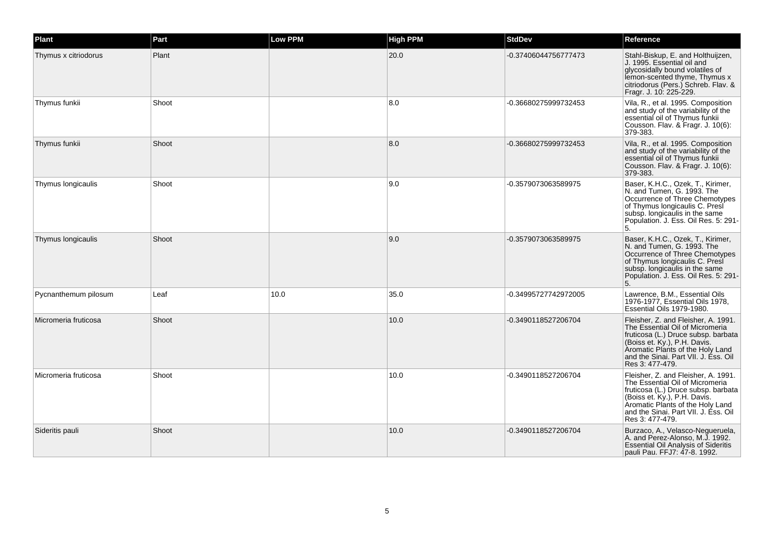| Plant                | Part  | Low PPM | <b>High PPM</b> | <b>StdDev</b>        | Reference                                                                                                                                                                                                                                    |
|----------------------|-------|---------|-----------------|----------------------|----------------------------------------------------------------------------------------------------------------------------------------------------------------------------------------------------------------------------------------------|
| Thymus x citriodorus | Plant |         | 20.0            | -0.37406044756777473 | Stahl-Biskup, E. and Holthuijzen,<br>J. 1995. Essential oil and<br>glycosidally bound volatiles of<br>lemon-scented thyme, Thymus x<br>citriodorus (Pers.) Schreb. Flav. &<br>Fragr. J. 10: 225-229.                                         |
| Thymus funkii        | Shoot |         | 8.0             | -0.36680275999732453 | Vila, R., et al. 1995. Composition<br>and study of the variability of the<br>essential oil of Thymus funkii<br>Cousson. Flav. & Fragr. J. 10(6):<br>379-383.                                                                                 |
| Thymus funkii        | Shoot |         | 8.0             | -0.36680275999732453 | Vila, R., et al. 1995. Composition<br>and study of the variability of the<br>essential oil of Thymus funkii<br>Cousson. Flav. & Fragr. J. 10(6):<br>379-383.                                                                                 |
| Thymus longicaulis   | Shoot |         | 9.0             | -0.3579073063589975  | Baser, K.H.C., Ozek, T., Kirimer,<br>N. and Tumen. G. 1993. The<br>Occurrence of Three Chemotypes<br>of Thymus longicaulis C. Presi<br>subsp. longicaulis in the same<br>Population. J. Ess. Oil Res. 5: 291-<br>5.                          |
| Thymus longicaulis   | Shoot |         | 9.0             | -0.3579073063589975  | Baser, K.H.C., Ozek, T., Kirimer,<br>N. and Tumen, G. 1993. The<br>Occurrence of Three Chemotypes<br>of Thymus longicaulis C. Presi<br>subsp. longicaulis in the same<br>Population. J. Ess. Oil Res. 5: 291-<br>5.                          |
| Pycnanthemum pilosum | Leaf  | 10.0    | 35.0            | -0.34995727742972005 | Lawrence, B.M., Essential Oils<br>1976-1977, Essential Oils 1978,<br>Essential Oils 1979-1980.                                                                                                                                               |
| Micromeria fruticosa | Shoot |         | 10.0            | -0.3490118527206704  | Fleisher, Z. and Fleisher, A. 1991.<br>The Essential Oil of Micromeria<br>fruticosa (L.) Druce subsp. barbata<br>(Boiss et. Ky.), P.H. Davis.<br>Aromatic Plants of the Holy Land<br>and the Sinai. Part VII. J. Ess. Oil<br>Res 3: 477-479. |
| Micromeria fruticosa | Shoot |         | 10.0            | -0.3490118527206704  | Fleisher, Z. and Fleisher, A. 1991.<br>The Essential Oil of Micromeria<br>fruticosa (L.) Druce subsp. barbata<br>(Boiss et. Ky.), P.H. Davis.<br>Aromatic Plants of the Holy Land<br>and the Sinai. Part VII. J. Ess. Oil<br>Res 3: 477-479. |
| Sideritis pauli      | Shoot |         | 10.0            | -0.3490118527206704  | Burzaco, A., Velasco-Negueruela,<br>A. and Perez-Alonso, M.J. 1992.<br><b>Essential Oil Analysis of Sideritis</b><br>pauli Pau. FFJ7: 47-8. 1992.                                                                                            |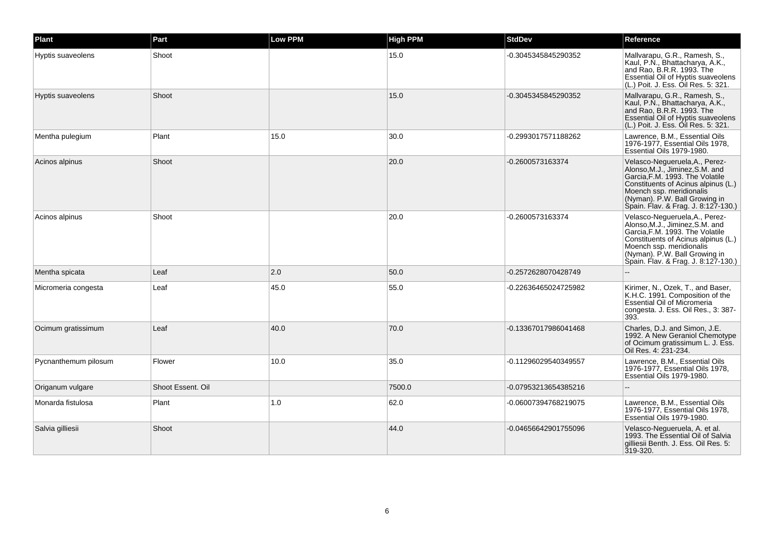| Plant                | Part              | Low PPM | <b>High PPM</b> | <b>StdDev</b>        | Reference                                                                                                                                                                                                                                       |
|----------------------|-------------------|---------|-----------------|----------------------|-------------------------------------------------------------------------------------------------------------------------------------------------------------------------------------------------------------------------------------------------|
| Hyptis suaveolens    | Shoot             |         | 15.0            | -0.3045345845290352  | Mallvarapu, G.R., Ramesh, S.,<br>Kaul, P.N., Bhattacharya, A.K.,<br>and Rao, B.R.R. 1993. The<br>Essential Oil of Hyptis suaveolens<br>(L.) Poit. J. Ess. Oil Res. 5: 321.                                                                      |
| Hyptis suaveolens    | Shoot             |         | 15.0            | -0.3045345845290352  | Mallvarapu, G.R., Ramesh, S.,<br>Kaul, P.N., Bhattacharya, A.K.,<br>and Rao, B.R.R. 1993. The<br>Essential Oil of Hyptis suaveolens<br>(L.) Poit. J. Ess. Oil Res. 5: 321.                                                                      |
| Mentha pulegium      | Plant             | 15.0    | 30.0            | -0.2993017571188262  | Lawrence, B.M., Essential Oils<br>1976-1977, Essential Oils 1978,<br>Essential Oils 1979-1980.                                                                                                                                                  |
| Acinos alpinus       | Shoot             |         | 20.0            | -0.2600573163374     | Velasco-Negueruela, A., Perez-<br>Alonso, M.J., Jiminez, S.M. and<br>Garcia, F.M. 1993. The Volatile<br>Constituents of Acinus alpinus (L.)<br>Moench ssp. meridionalis<br>(Nyman). P.W. Ball Growing in<br>Spain. Flav. & Frag. J. 8:127-130.) |
| Acinos alpinus       | Shoot             |         | 20.0            | -0.2600573163374     | Velasco-Negueruela, A., Perez-<br>Alonso, M.J., Jiminez, S.M. and<br>Garcia, F.M. 1993. The Volatile<br>Constituents of Acinus alpinus (L.)<br>Moench ssp. meridionalis<br>(Nyman). P.W. Ball Growing in<br>Spain. Flav. & Frag. J. 8:127-130.) |
| Mentha spicata       | Leaf              | 2.0     | 50.0            | -0.2572628070428749  |                                                                                                                                                                                                                                                 |
| Micromeria congesta  | Leaf              | 45.0    | 55.0            | -0.22636465024725982 | Kirimer, N., Ozek, T., and Baser,<br>K.H.C. 1991. Composition of the<br>Essential Oil of Micromeria<br>congesta. J. Ess. Oil Res., 3: 387-<br>393.                                                                                              |
| Ocimum gratissimum   | Leaf              | 40.0    | 70.0            | -0.13367017986041468 | Charles, D.J. and Simon, J.E.<br>1992. A New Geraniol Chemotype<br>of Ocimum gratissimum L. J. Ess.<br>Oil Res. 4: 231-234.                                                                                                                     |
| Pycnanthemum pilosum | Flower            | 10.0    | 35.0            | -0.11296029540349557 | Lawrence, B.M., Essential Oils<br>1976-1977, Essential Oils 1978,<br>Essential Oils 1979-1980.                                                                                                                                                  |
| Origanum vulgare     | Shoot Essent. Oil |         | 7500.0          | -0.07953213654385216 |                                                                                                                                                                                                                                                 |
| Monarda fistulosa    | Plant             | 1.0     | 62.0            | -0.06007394768219075 | Lawrence, B.M., Essential Oils<br>1976-1977, Essential Oils 1978,<br>Essential Oils 1979-1980.                                                                                                                                                  |
| Salvia gilliesii     | Shoot             |         | 44.0            | -0.04656642901755096 | Velasco-Negueruela, A. et al.<br>1993. The Essential Oil of Salvia<br>gilliesii Benth, J. Ess. Oil Res. 5:<br>319-320.                                                                                                                          |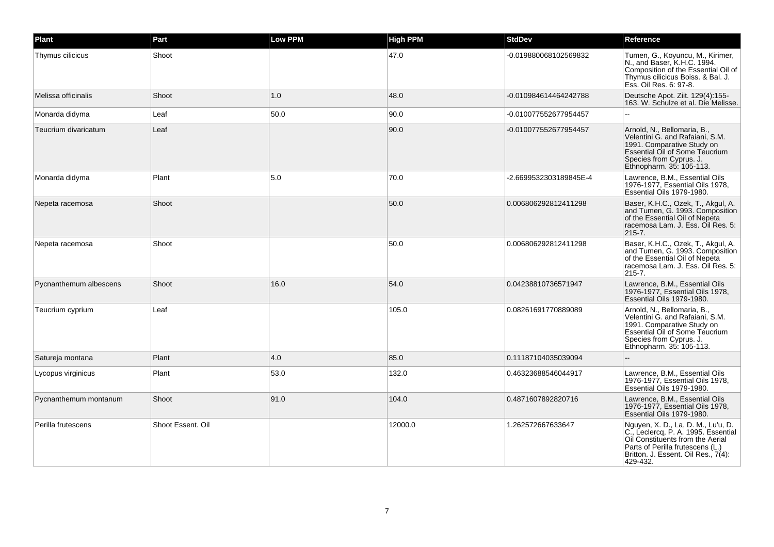| Plant                  | Part              | Low PPM | <b>High PPM</b> | <b>StdDev</b>          | Reference                                                                                                                                                                                            |
|------------------------|-------------------|---------|-----------------|------------------------|------------------------------------------------------------------------------------------------------------------------------------------------------------------------------------------------------|
| Thymus cilicicus       | Shoot             |         | 47.0            | -0.019880068102569832  | Tumen, G., Koyuncu, M., Kirimer,<br>N., and Baser, K.H.C. 1994.<br>Composition of the Essential Oil of<br>Thymus cilicicus Boiss. & Bal. J.<br>Ess. Oil Res. 6: 97-8.                                |
| Melissa officinalis    | Shoot             | 1.0     | 48.0            | -0.010984614464242788  | Deutsche Apot. Ziit. 129(4):155-<br>163. W. Schulze et al. Die Melisse.                                                                                                                              |
| Monarda didyma         | Leaf              | 50.0    | 90.0            | -0.010077552677954457  | ωú,                                                                                                                                                                                                  |
| Teucrium divaricatum   | Leaf              |         | 90.0            | -0.010077552677954457  | Arnold, N., Bellomaria, B.,<br>Velentini G. and Rafaiani, S.M.<br>1991. Comparative Study on<br><b>Essential Oil of Some Teucrium</b><br>Species from Cyprus. J.<br>Ethnopharm. 35: 105-113.         |
| Monarda didyma         | Plant             | 5.0     | 70.0            | -2.6699532303189845E-4 | Lawrence, B.M., Essential Oils<br>1976-1977, Essential Oils 1978,<br>Essential Oils 1979-1980.                                                                                                       |
| Nepeta racemosa        | Shoot             |         | 50.0            | 0.006806292812411298   | Baser, K.H.C., Ozek, T., Akgul, A.<br>and Tumen, G. 1993. Composition<br>of the Essential Oil of Nepeta<br>racemosa Lam. J. Ess. Oil Res. 5:<br>$215 - 7.$                                           |
| Nepeta racemosa        | Shoot             |         | 50.0            | 0.006806292812411298   | Baser, K.H.C., Ozek, T., Akgul, A.<br>and Tumen, G. 1993. Composition<br>of the Essential Oil of Nepeta<br>racemosa Lam. J. Ess. Oil Res. 5:<br>$215 - 7.$                                           |
| Pycnanthemum albescens | Shoot             | 16.0    | 54.0            | 0.04238810736571947    | Lawrence, B.M., Essential Oils<br>1976-1977, Essential Oils 1978,<br>Essential Oils 1979-1980.                                                                                                       |
| Teucrium cyprium       | Leaf              |         | 105.0           | 0.08261691770889089    | Arnold, N., Bellomaria, B.,<br>Velentini G. and Rafaiani, S.M.<br>1991. Comparative Study on<br><b>Essential Oil of Some Teucrium</b><br>Species from Cyprus. J.<br>Ethnopharm. 35: 105-113.         |
| Satureja montana       | Plant             | 4.0     | 85.0            | 0.11187104035039094    | $- -$                                                                                                                                                                                                |
| Lycopus virginicus     | Plant             | 53.0    | 132.0           | 0.46323688546044917    | Lawrence, B.M., Essential Oils<br>1976-1977, Essential Oils 1978,<br>Essential Oils 1979-1980.                                                                                                       |
| Pycnanthemum montanum  | Shoot             | 91.0    | 104.0           | 0.4871607892820716     | Lawrence, B.M., Essential Oils<br>1976-1977, Essential Oils 1978,<br>Essential Oils 1979-1980.                                                                                                       |
| Perilla frutescens     | Shoot Essent, Oil |         | 12000.0         | 1.262572667633647      | Nguyen, X. D., La, D. M., Lu'u, D.<br>C., Leclercq, P. A. 1995. Essential<br>Oil Constituents from the Aerial<br>Parts of Perilla frutescens (L.)<br>Britton. J. Essent. Oil Res., 7(4):<br>429-432. |